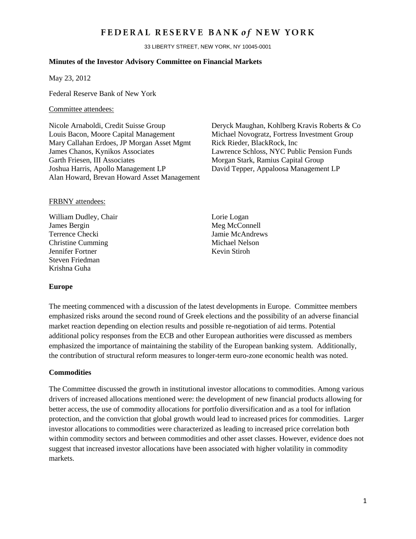## FEDERAL RESERVE BANK of NEW YORK

33 LIBERTY STREET, NEW YORK, NY 10045-0001

#### **Minutes of the Investor Advisory Committee on Financial Markets**

May 23, 2012

Federal Reserve Bank of New York

#### Committee attendees:

Louis Bacon, Moore Capital Management Michael Novogratz, Fortress Investment Group Mary Callahan Erdoes, JP Morgan Asset Mgmt Rick Rieder, BlackRock, Inc. James Chanos, Kynikos Associates Lawrence Schloss, NYC Public Pension Funds Garth Friesen, III Associates **Morgan Stark, Ramius Capital Group** Joshua Harris, Apollo Management LP David Tepper, Appaloosa Management LP Alan Howard, Brevan Howard Asset Management

Nicole Arnaboldi, Credit Suisse Group Deryck Maughan, Kohlberg Kravis Roberts & Co

#### FRBNY attendees:

William Dudley, Chair Lorie Logan James Bergin Meg McConnell Terrence Checki Jamie McAndrews Christine Cumming<br>
Jennifer Fortner<br>
Kevin Stiroh<br>
Kevin Stiroh Jennifer Fortner Steven Friedman Krishna Guha

#### **Europe**

The meeting commenced with a discussion of the latest developments in Europe. Committee members emphasized risks around the second round of Greek elections and the possibility of an adverse financial market reaction depending on election results and possible re-negotiation of aid terms. Potential additional policy responses from the ECB and other European authorities were discussed as members emphasized the importance of maintaining the stability of the European banking system. Additionally, the contribution of structural reform measures to longer-term euro-zone economic health was noted.

#### **Commodities**

The Committee discussed the growth in institutional investor allocations to commodities. Among various drivers of increased allocations mentioned were: the development of new financial products allowing for better access, the use of commodity allocations for portfolio diversification and as a tool for inflation protection, and the conviction that global growth would lead to increased prices for commodities. Larger investor allocations to commodities were characterized as leading to increased price correlation both within commodity sectors and between commodities and other asset classes. However, evidence does not suggest that increased investor allocations have been associated with higher volatility in commodity markets.